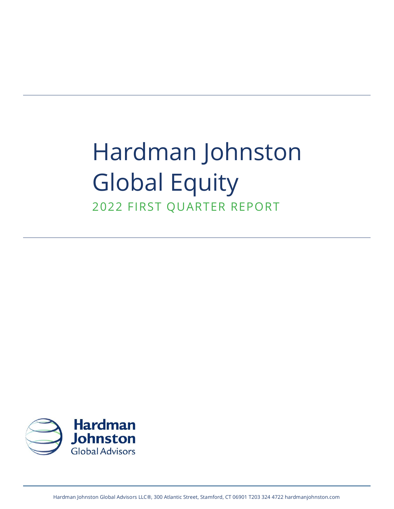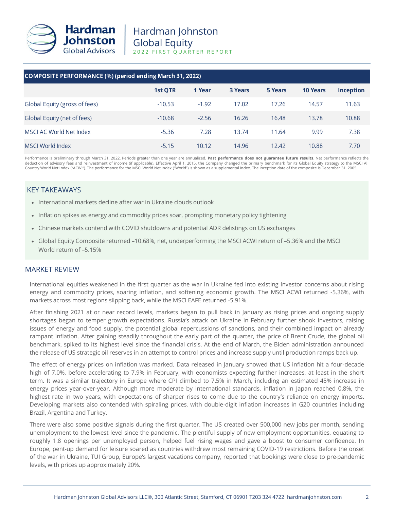

| <b>COMPOSITE PERFORMANCE (%) (period ending March 31, 2022)</b> |          |         |                |         |                 |                  |  |  |
|-----------------------------------------------------------------|----------|---------|----------------|---------|-----------------|------------------|--|--|
|                                                                 | 1st QTR  | 1 Year  | <b>3 Years</b> | 5 Years | <b>10 Years</b> | <b>Inception</b> |  |  |
| Global Equity (gross of fees)                                   | $-10.53$ | $-1.92$ | 17.02          | 17.26   | 14.57           | 11.63            |  |  |
| Global Equity (net of fees)                                     | $-10.68$ | $-2.56$ | 16.26          | 16.48   | 13.78           | 10.88            |  |  |
| MSCI AC World Net Index                                         | $-5.36$  | 7.28    | 13.74          | 11.64   | 9.99            | 7.38             |  |  |
| MSCI World Index                                                | $-5.15$  | 10.12   | 14.96          | 12.42   | 10.88           | 7.70             |  |  |

Performance is preliminary through March 31, 2022. Periods greater than one year are annualized. **Past performance does not guarantee future results**. Net performance reflects the deduction of advisory fees and reinvestment of income (if applicable). Effective April 1, 2015, the Company changed the primary benchmark for its Global Equity strategy to the MSCI All<br>Country World Net Index ("ACWI"). The

# KEY TAKEAWAYS

- International markets decline after war in Ukraine clouds outlook
- Inflation spikes as energy and commodity prices soar, prompting monetary policy tightening
- Chinese markets contend with COVID shutdowns and potential ADR delistings on US exchanges
- Global Equity Composite returned –10.68%, net, underperforming the MSCI ACWI return of –5.36% and the MSCI World return of –5.15%

# MARKET REVIEW

International equities weakened in the first quarter as the war in Ukraine fed into existing investor concerns about rising energy and commodity prices, soaring inflation, and softening economic growth. The MSCI ACWI returned -5.36%, with markets across most regions slipping back, while the MSCI EAFE returned -5.91%.

After finishing 2021 at or near record levels, markets began to pull back in January as rising prices and ongoing supply shortages began to temper growth expectations. Russia's attack on Ukraine in February further shook investors, raising issues of energy and food supply, the potential global repercussions of sanctions, and their combined impact on already rampant inflation. After gaining steadily throughout the early part of the quarter, the price of Brent Crude, the global oil benchmark, spiked to its highest level since the financial crisis. At the end of March, the Biden administration announced the release of US strategic oil reserves in an attempt to control prices and increase supply until production ramps back up.

The effect of energy prices on inflation was marked. Data released in January showed that US inflation hit a four-decade high of 7.0%, before accelerating to 7.9% in February, with economists expecting further increases, at least in the short term. It was a similar trajectory in Europe where CPI climbed to 7.5% in March, including an estimated 45% increase in energy prices year-over-year. Although more moderate by international standards, inflation in Japan reached 0.8%, the highest rate in two years, with expectations of sharper rises to come due to the country's reliance on energy imports. Developing markets also contended with spiraling prices, with double-digit inflation increases in G20 countries including Brazil, Argentina and Turkey.

There were also some positive signals during the first quarter. The US created over 500,000 new jobs per month, sending unemployment to the lowest level since the pandemic. The plentiful supply of new employment opportunities, equating to roughly 1.8 openings per unemployed person, helped fuel rising wages and gave a boost to consumer confidence. In Europe, pent-up demand for leisure soared as countries withdrew most remaining COVID-19 restrictions. Before the onset of the war in Ukraine, TUI Group, Europe's largest vacations company, reported that bookings were close to pre-pandemic levels, with prices up approximately 20%.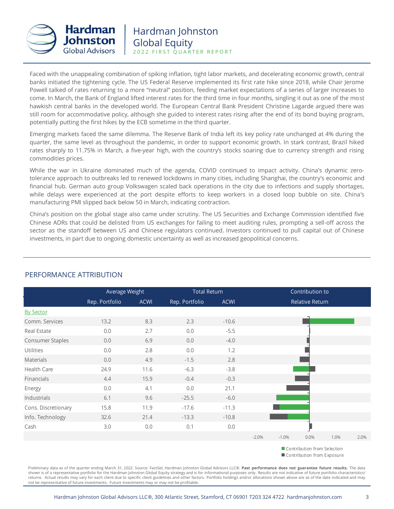

Faced with the unappealing combination of spiking inflation, tight labor markets, and decelerating economic growth, central banks initiated the tightening cycle. The US Federal Reserve implemented its first rate hike since 2018, while Chair Jerome Powell talked of rates returning to a more "neutral" position, feeding market expectations of a series of larger increases to come. In March, the Bank of England lifted interest rates for the third time in four months, singling it out as one of the most hawkish central banks in the developed world. The European Central Bank President Christine Lagarde argued there was still room for accommodative policy, although she guided to interest rates rising after the end of its bond buying program, potentially putting the first hikes by the ECB sometime in the third quarter.

Emerging markets faced the same dilemma. The Reserve Bank of India left its key policy rate unchanged at 4% during the quarter, the same level as throughout the pandemic, in order to support economic growth. In stark contrast, Brazil hiked rates sharply to 11.75% in March, a five-year high, with the country's stocks soaring due to currency strength and rising commodities prices.

While the war in Ukraine dominated much of the agenda, COVID continued to impact activity. China's dynamic zerotolerance approach to outbreaks led to renewed lockdowns in many cities, including Shanghai, the country's economic and financial hub. German auto group Volkswagen scaled back operations in the city due to infections and supply shortages, while delays were experienced at the port despite efforts to keep workers in a closed loop bubble on site. China's manufacturing PMI slipped back below 50 in March, indicating contraction.

China's position on the global stage also came under scrutiny. The US Securities and Exchange Commission identified five Chinese ADRs that could be delisted from US exchanges for failing to meet auditing rules, prompting a sell-off across the sector as the standoff between US and Chinese regulators continued. Investors continued to pull capital out of Chinese investments, in part due to ongoing domestic uncertainty as well as increased geopolitical concerns.

|                     | Average Weight |             |                | <b>Total Return</b> |         | Contribution to |                                 |                          |      |  |
|---------------------|----------------|-------------|----------------|---------------------|---------|-----------------|---------------------------------|--------------------------|------|--|
|                     | Rep. Portfolio | <b>ACWI</b> | Rep. Portfolio | <b>ACWI</b>         |         |                 | <b>Relative Return</b>          |                          |      |  |
| <b>By Sector</b>    |                |             |                |                     |         |                 |                                 |                          |      |  |
| Comm. Services      | 13.2           | 8.3         | 2.3            | $-10.6$             |         |                 |                                 |                          |      |  |
| Real Estate         | 0.0            | 2.7         | 0.0            | $-5.5$              |         |                 |                                 |                          |      |  |
| Consumer Staples    | 0.0            | 6.9         | 0.0            | $-4.0$              |         |                 |                                 |                          |      |  |
| Utilities           | 0.0            | 2.8         | 0.0            | 1.2                 |         |                 |                                 |                          |      |  |
| <b>Materials</b>    | 0.0            | 4.9         | $-1.5$         | 2.8                 |         |                 |                                 |                          |      |  |
| Health Care         | 24.9           | 11.6        | $-6.3$         | $-3.8$              |         |                 |                                 |                          |      |  |
| Financials          | 4.4            | 15.9        | $-0.4$         | $-0.3$              |         |                 |                                 |                          |      |  |
| Energy              | 0.0            | 4.1         | 0.0            | 21.1                |         |                 |                                 |                          |      |  |
| Industrials         | 6.1            | 9.6         | $-25.5$        | $-6.0$              |         |                 |                                 |                          |      |  |
| Cons. Discretionary | 15.8           | 11.9        | $-17.6$        | $-11.3$             |         |                 |                                 |                          |      |  |
| Info. Technology    | 32.6           | 21.4        | $-13.3$        | $-10.8$             |         |                 |                                 |                          |      |  |
| Cash                | 3.0            | 0.0         | 0.1            | $0.0\,$             |         |                 |                                 |                          |      |  |
|                     |                |             |                |                     | $-2.0%$ | $-1.0%$         | 0.0%                            | 1.0%                     | 2.0% |  |
|                     |                |             |                |                     |         |                 | the contract of the contract of | <b>STATE OF BUILDING</b> |      |  |

PERFORMANCE ATTRIBUTION

Contribution from Selection Contribution from Exposure

Preliminary data as of the quarter ending March 31, 2022. Source: FactSet, Hardman Johnston Global Advisors LLC®. **Past performance does not guarantee future results.** The data shown is of a representative portfolio for the Hardman Johnston Global Equity strategy and is for informational purposes only. Results are not indicative of future portfolio characteristics/ returns. Actual results may vary for each client due to specific client guidelines and other factors. Portfolio holdings and/or allocations shown above are as of the date indicated and may not be representative of future investments. Future investments may or may not be profitable.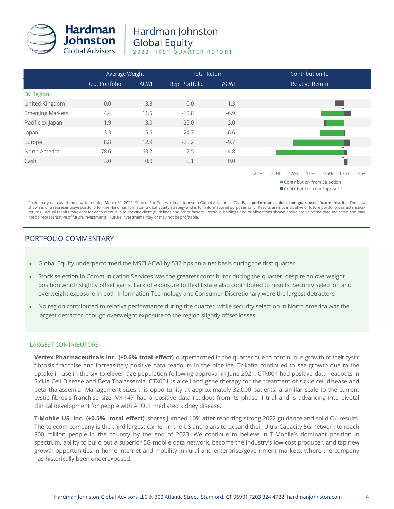

|                         |                | Average Weight |                | <b>Total Return</b> | Contribution to                                                                                                                   |  |  |  |
|-------------------------|----------------|----------------|----------------|---------------------|-----------------------------------------------------------------------------------------------------------------------------------|--|--|--|
|                         | Rep. Portfolio | <b>ACWI</b>    | Rep. Portfolio | <b>ACWI</b>         | <b>Relative Return</b>                                                                                                            |  |  |  |
| <b>By Region</b>        |                |                |                |                     |                                                                                                                                   |  |  |  |
| United Kingdom          | 0.0            | 3.8            | 0.0            | 1.3                 |                                                                                                                                   |  |  |  |
| <b>Emerging Markets</b> | 4.4            | 11.5           | $-15.8$        | $-6.9$              |                                                                                                                                   |  |  |  |
| Pacific ex Japan        | 1.9            | 3.0            | $-25.0$        | 3.0                 |                                                                                                                                   |  |  |  |
| Japan                   | 3.3            | 5.6            | $-24.7$        | $-6.6$              |                                                                                                                                   |  |  |  |
| Europe                  | 8.8            | 12.9           | $-25.2$        | $-9.7$              |                                                                                                                                   |  |  |  |
| North America           | 78.6           | 63.2           | $-7.5$         | $-4.8$              |                                                                                                                                   |  |  |  |
| Cash                    | 3.0            | 0.0            | 0.1            | 0.0                 |                                                                                                                                   |  |  |  |
|                         |                |                |                |                     | $-2.5%$<br>$-2.0%$<br>$-1.5%$<br>$-1.0\%$<br>$-0.5%$<br>0.5%<br>0.0%<br>Contribution from Selection<br>Contribution from Exposure |  |  |  |

Preliminary data as of the quarter ending March 31, 2022. Source: FactSet, Hardman Johnston Global Advisors LLC®. **Past performance does not guarantee future results.** The data shown is of a representative portfolio for the Hardman Johnston Global Equity strategy and is for informational purposes only. Results are not indicative of future portfolio characteristics/ returns. Actual results may vary for each client due to specific client guidelines and other factors. Portfolio holdings and/or allocations shown above are as of the date indicated and may not be representative of future investments. Future investments may or may not be profitable.

# PORTFOLIO COMMENTARY

- Global Equity underperformed the MSCI ACWI by 532 bps on a net basis during the first quarter
- Stock selection in Communication Services was the greatest contributor during the quarter, despite an overweight position which slightly offset gains. Lack of exposure to Real Estate also contributed to results. Security selection and overweight exposure in both Information Technology and Consumer Discretionary were the largest detractors
- No region contributed to relative performance during the quarter, while security selection in North America was the largest detractor, though overweight exposure to the region slightly offset losses

## LARGEST CONTRIBUTORS

**Vertex Pharmaceuticals Inc. (+0.6% total effect)** outperformed in the quarter due to continuous growth of their cystic fibrosis franchise and increasingly positive data readouts in the pipeline. Trikafta continued to see growth due to the uptake in use in the six-to-eleven age population following approval in June 2021. CTX001 had positive data readouts in Sickle Cell Disease and Beta Thalassemia. CTX001 is a cell and gene therapy for the treatment of sickle cell disease and beta thalassemia. Management sizes this opportunity at approximately 32,000 patients, a similar scale to the current cystic fibrosis franchise size. VX-147 had a positive data readout from its phase II trial and is advancing into pivotal clinical development for people with APOL1 mediated kidney disease.

**T-Mobile US, Inc. (+0.5% total effect)** shares jumped 10% after reporting strong 2022 guidance and solid Q4 results. The telecom company is the third largest carrier in the US and plans to expand their Ultra Capacity 5G network to reach 300 million people in the country by the end of 2023. We continue to believe in T-Mobile's dominant position in spectrum, ability to build out a superior 5G mobile data network, become the industry's low-cost producer, and tap new growth opportunities in home internet and mobility in rural and enterprise/government markets, where the company has historically been underexposed.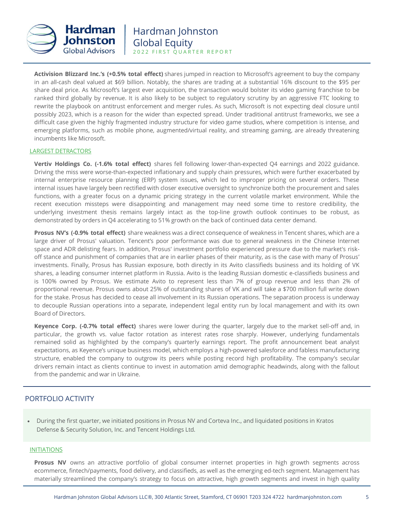

**Activision Blizzard Inc.'s (+0.5% total effect)** shares jumped in reaction to Microsoft's agreement to buy the company in an all-cash deal valued at \$69 billion. Notably, the shares are trading at a substantial 16% discount to the \$95 per share deal price. As Microsoft's largest ever acquisition, the transaction would bolster its video gaming franchise to be ranked third globally by revenue. It is also likely to be subject to regulatory scrutiny by an aggressive FTC looking to rewrite the playbook on antitrust enforcement and merger rules. As such, Microsoft is not expecting deal closure until possibly 2023, which is a reason for the wider than expected spread. Under traditional antitrust frameworks, we see a difficult case given the highly fragmented industry structure for video game studios, where competition is intense, and emerging platforms, such as mobile phone, augmented/virtual reality, and streaming gaming, are already threatening incumbents like Microsoft.

#### LARGEST DETRACTORS

**Vertiv Holdings Co. (-1.6% total effect)** shares fell following lower-than-expected Q4 earnings and 2022 guidance. Driving the miss were worse-than-expected inflationary and supply chain pressures, which were further exacerbated by internal enterprise resource planning (ERP) system issues, which led to improper pricing on several orders. These internal issues have largely been rectified with closer executive oversight to synchronize both the procurement and sales functions, with a greater focus on a dynamic pricing strategy in the current volatile market environment. While the recent execution missteps were disappointing and management may need some time to restore credibility, the underlying investment thesis remains largely intact as the top-line growth outlook continues to be robust, as demonstrated by orders in Q4 accelerating to 51% growth on the back of continued data center demand.

**Prosus NV's (-0.9% total effect)** share weakness was a direct consequence of weakness in Tencent shares, which are a large driver of Prosus' valuation. Tencent's poor performance was due to general weakness in the Chinese Internet space and ADR delisting fears. In addition, Prosus' investment portfolio experienced pressure due to the market's riskoff stance and punishment of companies that are in earlier phases of their maturity, as is the case with many of Prosus' investments. Finally, Prosus has Russian exposure, both directly in its Avito classifieds business and its holding of VK shares, a leading consumer internet platform in Russia. Avito is the leading Russian domestic e-classifieds business and is 100% owned by Prosus. We estimate Avito to represent less than 7% of group revenue and less than 2% of proportional revenue. Prosus owns about 25% of outstanding shares of VK and will take a \$700 million full write down for the stake. Prosus has decided to cease all involvement in its Russian operations. The separation process is underway to decouple Russian operations into a separate, independent legal entity run by local management and with its own Board of Directors.

**Keyence Corp. (-0.7% total effect)** shares were lower during the quarter, largely due to the market sell-off and, in particular, the growth vs. value factor rotation as interest rates rose sharply. However, underlying fundamentals remained solid as highlighted by the company's quarterly earnings report. The profit announcement beat analyst expectations, as Keyence's unique business model, which employs a high-powered salesforce and fabless manufacturing structure, enabled the company to outgrow its peers while posting record high profitability. The company's secular drivers remain intact as clients continue to invest in automation amid demographic headwinds, along with the fallout from the pandemic and war in Ukraine.

# PORTFOLIO ACTIVITY

• During the first quarter, we initiated positions in Prosus NV and Corteva Inc., and liquidated positions in Kratos Defense & Security Solution, Inc. and Tencent Holdings Ltd.

#### INITIATIONS

**Prosus NV** owns an attractive portfolio of global consumer internet properties in high growth segments across ecommerce, fintech/payments, food delivery, and classifieds, as well as the emerging ed-tech segment. Management has materially streamlined the company's strategy to focus on attractive, high growth segments and invest in high quality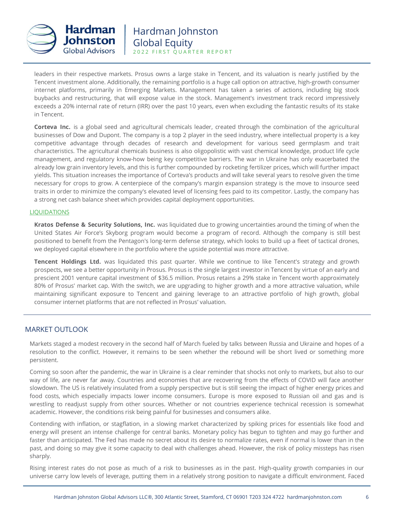

leaders in their respective markets. Prosus owns a large stake in Tencent, and its valuation is nearly justified by the Tencent investment alone. Additionally, the remaining portfolio is a huge call option on attractive, high-growth consumer internet platforms, primarily in Emerging Markets. Management has taken a series of actions, including big stock buybacks and restructuring, that will expose value in the stock. Management's investment track record impressively exceeds a 20% internal rate of return (IRR) over the past 10 years, even when excluding the fantastic results of its stake in Tencent.

**Corteva Inc.** is a global seed and agricultural chemicals leader, created through the combination of the agricultural businesses of Dow and Dupont. The company is a top 2 player in the seed industry, where intellectual property is a key competitive advantage through decades of research and development for various seed germplasm and trait characteristics. The agricultural chemicals business is also oligopolistic with vast chemical knowledge, product life cycle management, and regulatory know-how being key competitive barriers. The war in Ukraine has only exacerbated the already low grain inventory levels, and this is further compounded by rocketing fertilizer prices, which will further impact yields. This situation increases the importance of Corteva's products and will take several years to resolve given the time necessary for crops to grow. A centerpiece of the company's margin expansion strategy is the move to insource seed traits in order to minimize the company's elevated level of licensing fees paid to its competitor. Lastly, the company has a strong net cash balance sheet which provides capital deployment opportunities.

## LIQUIDATIONS

**Kratos Defense & Security Solutions, Inc.** was liquidated due to growing uncertainties around the timing of when the United States Air Force's Skyborg program would become a program of record. Although the company is still best positioned to benefit from the Pentagon's long-term defense strategy, which looks to build up a fleet of tactical drones, we deployed capital elsewhere in the portfolio where the upside potential was more attractive.

**Tencent Holdings Ltd.** was liquidated this past quarter. While we continue to like Tencent's strategy and growth prospects, we see a better opportunity in Prosus. Prosus is the single largest investor in Tencent by virtue of an early and prescient 2001 venture capital investment of \$36.5 million. Prosus retains a 29% stake in Tencent worth approximately 80% of Prosus' market cap. With the switch, we are upgrading to higher growth and a more attractive valuation, while maintaining significant exposure to Tencent and gaining leverage to an attractive portfolio of high growth, global consumer internet platforms that are not reflected in Prosus' valuation.

# MARKET OUTLOOK

Markets staged a modest recovery in the second half of March fueled by talks between Russia and Ukraine and hopes of a resolution to the conflict. However, it remains to be seen whether the rebound will be short lived or something more persistent.

Coming so soon after the pandemic, the war in Ukraine is a clear reminder that shocks not only to markets, but also to our way of life, are never far away. Countries and economies that are recovering from the effects of COVID will face another slowdown. The US is relatively insulated from a supply perspective but is still seeing the impact of higher energy prices and food costs, which especially impacts lower income consumers. Europe is more exposed to Russian oil and gas and is wrestling to readjust supply from other sources. Whether or not countries experience technical recession is somewhat academic. However, the conditions risk being painful for businesses and consumers alike.

Contending with inflation, or stagflation, in a slowing market characterized by spiking prices for essentials like food and energy will present an intense challenge for central banks. Monetary policy has begun to tighten and may go further and faster than anticipated. The Fed has made no secret about its desire to normalize rates, even if normal is lower than in the past, and doing so may give it some capacity to deal with challenges ahead. However, the risk of policy missteps has risen sharply.

Rising interest rates do not pose as much of a risk to businesses as in the past. High-quality growth companies in our universe carry low levels of leverage, putting them in a relatively strong position to navigate a difficult environment. Faced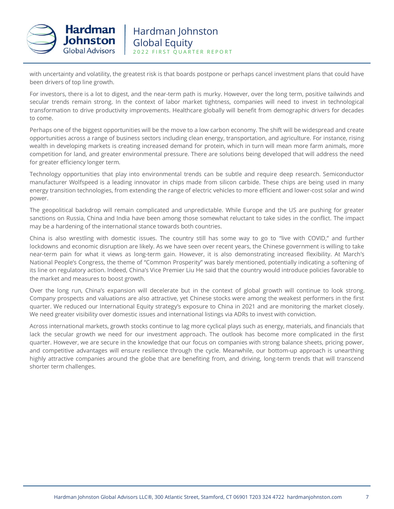

with uncertainty and volatility, the greatest risk is that boards postpone or perhaps cancel investment plans that could have been drivers of top line growth.

For investors, there is a lot to digest, and the near-term path is murky. However, over the long term, positive tailwinds and secular trends remain strong. In the context of labor market tightness, companies will need to invest in technological transformation to drive productivity improvements. Healthcare globally will benefit from demographic drivers for decades to come.

Perhaps one of the biggest opportunities will be the move to a low carbon economy. The shift will be widespread and create opportunities across a range of business sectors including clean energy, transportation, and agriculture. For instance, rising wealth in developing markets is creating increased demand for protein, which in turn will mean more farm animals, more competition for land, and greater environmental pressure. There are solutions being developed that will address the need for greater efficiency longer term.

Technology opportunities that play into environmental trends can be subtle and require deep research. Semiconductor manufacturer Wolfspeed is a leading innovator in chips made from silicon carbide. These chips are being used in many energy transition technologies, from extending the range of electric vehicles to more efficient and lower-cost solar and wind power.

The geopolitical backdrop will remain complicated and unpredictable. While Europe and the US are pushing for greater sanctions on Russia, China and India have been among those somewhat reluctant to take sides in the conflict. The impact may be a hardening of the international stance towards both countries.

China is also wrestling with domestic issues. The country still has some way to go to "live with COVID," and further lockdowns and economic disruption are likely. As we have seen over recent years, the Chinese government is willing to take near-term pain for what it views as long-term gain. However, it is also demonstrating increased flexibility. At March's National People's Congress, the theme of "Common Prosperity" was barely mentioned, potentially indicating a softening of its line on regulatory action. Indeed, China's Vice Premier Liu He said that the country would introduce policies favorable to the market and measures to boost growth.

Over the long run, China's expansion will decelerate but in the context of global growth will continue to look strong. Company prospects and valuations are also attractive, yet Chinese stocks were among the weakest performers in the first quarter. We reduced our International Equity strategy's exposure to China in 2021 and are monitoring the market closely. We need greater visibility over domestic issues and international listings via ADRs to invest with conviction.

Across international markets, growth stocks continue to lag more cyclical plays such as energy, materials, and financials that lack the secular growth we need for our investment approach. The outlook has become more complicated in the first quarter. However, we are secure in the knowledge that our focus on companies with strong balance sheets, pricing power, and competitive advantages will ensure resilience through the cycle. Meanwhile, our bottom-up approach is unearthing highly attractive companies around the globe that are benefiting from, and driving, long-term trends that will transcend shorter term challenges.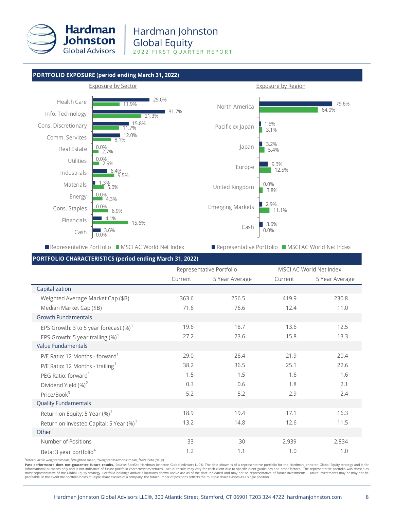

## **PORTFOLIO EXPOSURE (period ending March 31, 2022)**



Representative Portfolio MSCI AC World Net Index

Representative Portfolio MSCI AC World Net Index

# **PORTFOLIO CHARACTERISTICS (period ending March 31, 2022)**

|                                                     | Representative Portfolio |                |         | MSCI AC World Net Index |
|-----------------------------------------------------|--------------------------|----------------|---------|-------------------------|
|                                                     | Current                  | 5 Year Average | Current | 5 Year Average          |
| Capitalization                                      |                          |                |         |                         |
| Weighted Average Market Cap (\$B)                   | 363.6                    | 256.5          | 419.9   | 230.8                   |
| Median Market Cap (\$B)                             | 71.6                     | 76.6           | 12.4    | 11.0                    |
| <b>Growth Fundamentals</b>                          |                          |                |         |                         |
| EPS Growth: 3 to 5 year forecast $(\%)^1$           | 19.6                     | 18.7           | 13.6    | 12.5                    |
| EPS Growth: 5 year trailing $(\%)^1$                | 27.2                     | 23.6           | 15.8    | 13.3                    |
| <b>Value Fundamentals</b>                           |                          |                |         |                         |
| P/E Ratio: 12 Months - forward <sup>1</sup>         | 29.0                     | 28.4           | 21.9    | 20.4                    |
| P/E Ratio: 12 Months - trailing <sup>1</sup>        | 38.2                     | 36.5           | 25.1    | 22.6                    |
| PEG Ratio: forward <sup>1</sup>                     | 1.5                      | 1.5            | 1.6     | 1.6                     |
| Dividend Yield (%) <sup>2</sup>                     | 0.3                      | 0.6            | 1.8     | 2.1                     |
| Price/Book $3$                                      | 5.2                      | 5.2            | 2.9     | 2.4                     |
| <b>Quality Fundamentals</b>                         |                          |                |         |                         |
| Return on Equity: 5 Year $(\%)^1$                   | 18.9                     | 19.4           | 17.1    | 16.3                    |
| Return on Invested Capital: 5 Year (%) <sup>1</sup> | 13.2                     | 14.8           | 12.6    | 11.5                    |
| Other                                               |                          |                |         |                         |
| Number of Positions                                 | 33                       | 30             | 2,939   | 2,834                   |
| Beta: 3 year portfolio <sup>4</sup>                 | 1.2                      | 1.1            | 1.0     | 1.0                     |

<sup>1</sup>Interquartile weighted mean, <sup>2</sup>Weighted mean, <sup>3</sup>Weighted harmonic mean, <sup>4</sup>MPT beta (daily).

Past performance does not guarantee future results. Source: FactSet, Hardman Johnston Global Advisors LLC®. The data shown is of a representative portfolio for the Hardman Johnston Global Equity strategy and is for informational purposes only and is not indicative of future portfolio characteristics/returns. Actual results may vary for each client due to specific client guidelines and other factors. The representative portfolio was c most representative of the Global Equity strategy. Portfolio holdings and/or allocations shown above are as of the date indicated and may not be representative of future investments. Future investments may or may not be<br>pr